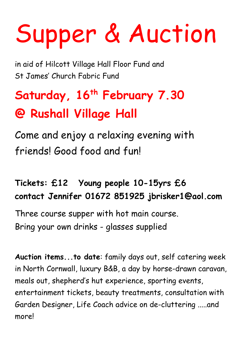## Supper & Auction

in aid of Hilcott Village Hall Floor Fund and St James' Church Fabric Fund

## **Saturday, 16th February 7.30 @ Rushall Village Hall**

Come and enjoy a relaxing evening with friends! Good food and fun!

## **Tickets: £12 Young people 10-15yrs £6 contact Jennifer 01672 851925 jbrisker1@aol.com**

Three course supper with hot main course. Bring your own drinks - glasses supplied

**Auction items...to date**: family days out, self catering week in North Cornwall, luxury B&B, a day by horse-drawn caravan, meals out, shepherd's hut experience, sporting events, entertainment tickets, beauty treatments, consultation with Garden Designer, Life Coach advice on de-cluttering .....and more!